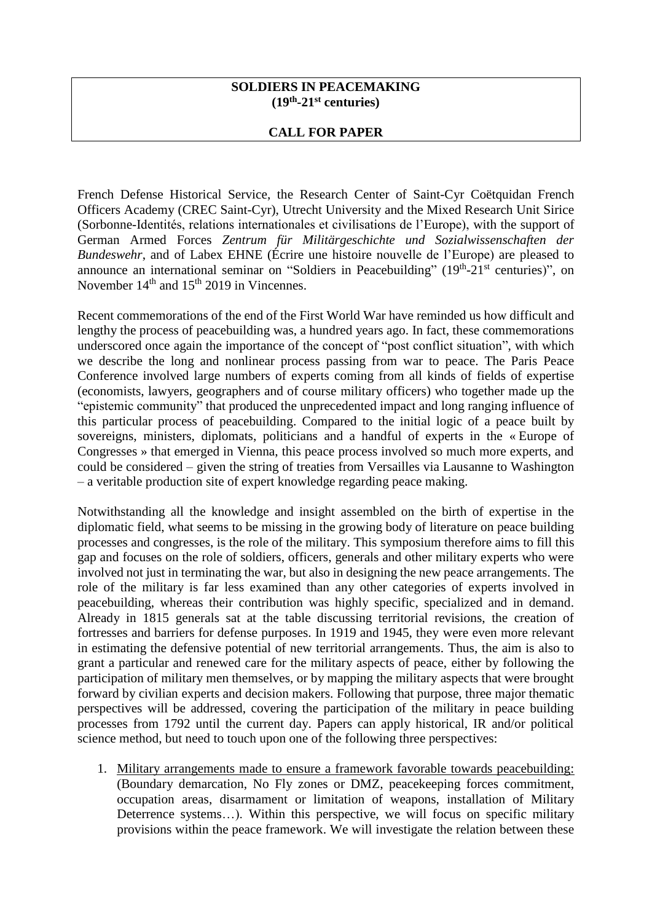## **SOLDIERS IN PEACEMAKING (19th -21st centuries)**

## **CALL FOR PAPER**

French Defense Historical Service, the Research Center of Saint-Cyr Coëtquidan French Officers Academy (CREC Saint-Cyr), Utrecht University and the Mixed Research Unit Sirice (Sorbonne-Identités, relations internationales et civilisations de l'Europe), with the support of German Armed Forces *Zentrum für Militärgeschichte und Sozialwissenschaften der Bundeswehr*, and of Labex EHNE (Écrire une histoire nouvelle de l'Europe) are pleased to announce an international seminar on "Soldiers in Peacebuilding"  $(19<sup>th</sup>-21<sup>st</sup>$  centuries)", on November  $14<sup>th</sup>$  and  $15<sup>th</sup>$  2019 in Vincennes.

Recent commemorations of the end of the First World War have reminded us how difficult and lengthy the process of peacebuilding was, a hundred years ago. In fact, these commemorations underscored once again the importance of the concept of "post conflict situation", with which we describe the long and nonlinear process passing from war to peace. The Paris Peace Conference involved large numbers of experts coming from all kinds of fields of expertise (economists, lawyers, geographers and of course military officers) who together made up the "epistemic community" that produced the unprecedented impact and long ranging influence of this particular process of peacebuilding. Compared to the initial logic of a peace built by sovereigns, ministers, diplomats, politicians and a handful of experts in the « Europe of Congresses » that emerged in Vienna, this peace process involved so much more experts, and could be considered – given the string of treaties from Versailles via Lausanne to Washington – a veritable production site of expert knowledge regarding peace making.

Notwithstanding all the knowledge and insight assembled on the birth of expertise in the diplomatic field, what seems to be missing in the growing body of literature on peace building processes and congresses, is the role of the military. This symposium therefore aims to fill this gap and focuses on the role of soldiers, officers, generals and other military experts who were involved not just in terminating the war, but also in designing the new peace arrangements. The role of the military is far less examined than any other categories of experts involved in peacebuilding, whereas their contribution was highly specific, specialized and in demand. Already in 1815 generals sat at the table discussing territorial revisions, the creation of fortresses and barriers for defense purposes. In 1919 and 1945, they were even more relevant in estimating the defensive potential of new territorial arrangements. Thus, the aim is also to grant a particular and renewed care for the military aspects of peace, either by following the participation of military men themselves, or by mapping the military aspects that were brought forward by civilian experts and decision makers. Following that purpose, three major thematic perspectives will be addressed, covering the participation of the military in peace building processes from 1792 until the current day. Papers can apply historical, IR and/or political science method, but need to touch upon one of the following three perspectives:

1. Military arrangements made to ensure a framework favorable towards peacebuilding: (Boundary demarcation, No Fly zones or DMZ, peacekeeping forces commitment, occupation areas, disarmament or limitation of weapons, installation of Military Deterrence systems...). Within this perspective, we will focus on specific military provisions within the peace framework. We will investigate the relation between these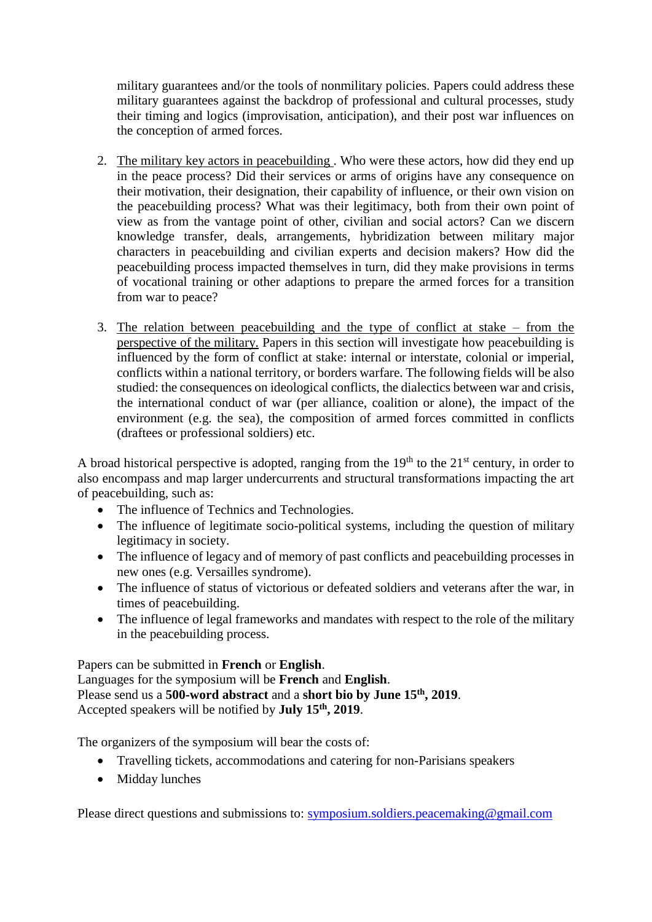military guarantees and/or the tools of nonmilitary policies. Papers could address these military guarantees against the backdrop of professional and cultural processes, study their timing and logics (improvisation, anticipation), and their post war influences on the conception of armed forces.

- 2. The military key actors in peacebuilding . Who were these actors, how did they end up in the peace process? Did their services or arms of origins have any consequence on their motivation, their designation, their capability of influence, or their own vision on the peacebuilding process? What was their legitimacy, both from their own point of view as from the vantage point of other, civilian and social actors? Can we discern knowledge transfer, deals, arrangements, hybridization between military major characters in peacebuilding and civilian experts and decision makers? How did the peacebuilding process impacted themselves in turn, did they make provisions in terms of vocational training or other adaptions to prepare the armed forces for a transition from war to peace?
- 3. The relation between peacebuilding and the type of conflict at stake from the perspective of the military. Papers in this section will investigate how peacebuilding is influenced by the form of conflict at stake: internal or interstate, colonial or imperial, conflicts within a national territory, or borders warfare. The following fields will be also studied: the consequences on ideological conflicts, the dialectics between war and crisis, the international conduct of war (per alliance, coalition or alone), the impact of the environment (e.g. the sea), the composition of armed forces committed in conflicts (draftees or professional soldiers) etc.

A broad historical perspective is adopted, ranging from the  $19<sup>th</sup>$  to the  $21<sup>st</sup>$  century, in order to also encompass and map larger undercurrents and structural transformations impacting the art of peacebuilding, such as:

- The influence of Technics and Technologies.
- The influence of legitimate socio-political systems, including the question of military legitimacy in society.
- The influence of legacy and of memory of past conflicts and peacebuilding processes in new ones (e.g. Versailles syndrome).
- The influence of status of victorious or defeated soldiers and veterans after the war, in times of peacebuilding.
- The influence of legal frameworks and mandates with respect to the role of the military in the peacebuilding process.

Papers can be submitted in **French** or **English**. Languages for the symposium will be **French** and **English**. Please send us a **500-word abstract** and a **short bio by June 15th, 2019**. Accepted speakers will be notified by **July 15th, 2019**.

The organizers of the symposium will bear the costs of:

- Travelling tickets, accommodations and catering for non-Parisians speakers
- Midday lunches

Please direct questions and submissions to: [symposium.soldiers.peacemaking@gmail.com](mailto:symposium.soldiers.peacemaking@gmail.com)